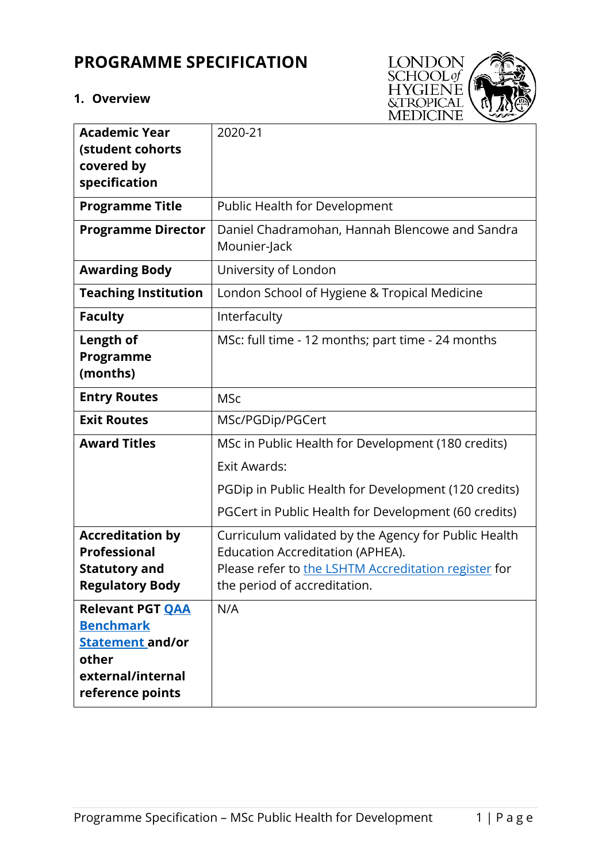# **PROGRAMME SPECIFICATION**

## **1. Overview**



| <b>Academic Year</b><br>(student cohorts                                                                                 | 2020-21                                                                                                                                                                                 |
|--------------------------------------------------------------------------------------------------------------------------|-----------------------------------------------------------------------------------------------------------------------------------------------------------------------------------------|
| covered by<br>specification                                                                                              |                                                                                                                                                                                         |
| <b>Programme Title</b>                                                                                                   | Public Health for Development                                                                                                                                                           |
| <b>Programme Director</b>                                                                                                | Daniel Chadramohan, Hannah Blencowe and Sandra<br>Mounier-Jack                                                                                                                          |
| <b>Awarding Body</b>                                                                                                     | University of London                                                                                                                                                                    |
| <b>Teaching Institution</b>                                                                                              | London School of Hygiene & Tropical Medicine                                                                                                                                            |
| <b>Faculty</b>                                                                                                           | Interfaculty                                                                                                                                                                            |
| <b>Length of</b><br>Programme<br>(months)                                                                                | MSc: full time - 12 months; part time - 24 months                                                                                                                                       |
| <b>Entry Routes</b>                                                                                                      | <b>MSc</b>                                                                                                                                                                              |
| <b>Exit Routes</b>                                                                                                       | MSc/PGDip/PGCert                                                                                                                                                                        |
| <b>Award Titles</b>                                                                                                      | MSc in Public Health for Development (180 credits)                                                                                                                                      |
|                                                                                                                          | <b>Exit Awards:</b>                                                                                                                                                                     |
|                                                                                                                          | PGDip in Public Health for Development (120 credits)                                                                                                                                    |
|                                                                                                                          | PGCert in Public Health for Development (60 credits)                                                                                                                                    |
| <b>Accreditation by</b><br><b>Professional</b><br><b>Statutory and</b><br><b>Regulatory Body</b>                         | Curriculum validated by the Agency for Public Health<br><b>Education Accreditation (APHEA).</b><br>Please refer to the LSHTM Accreditation register for<br>the period of accreditation. |
| <b>Relevant PGT OAA</b><br><b>Benchmark</b><br><b>Statement and/or</b><br>other<br>external/internal<br>reference points | N/A                                                                                                                                                                                     |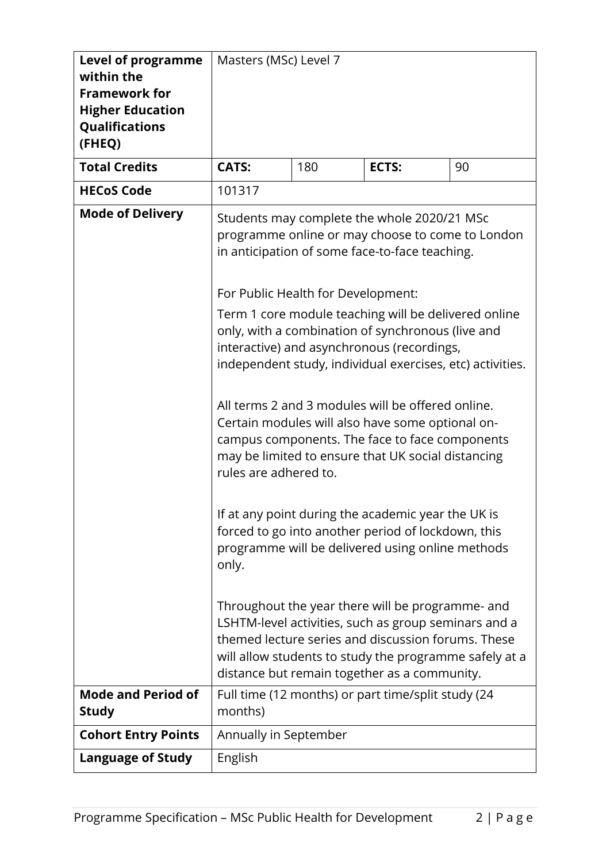| <b>Level of programme</b><br>within the<br><b>Framework for</b><br><b>Higher Education</b><br>Qualifications<br>(FHEQ) | Masters (MSc) Level 7                                                |     |                                                                                                                                                                                                                                                                                                                                                                                                                                                                                                                                                                                                                                                                                                                                                                                                                                                                                                                                                                                                                                        |    |
|------------------------------------------------------------------------------------------------------------------------|----------------------------------------------------------------------|-----|----------------------------------------------------------------------------------------------------------------------------------------------------------------------------------------------------------------------------------------------------------------------------------------------------------------------------------------------------------------------------------------------------------------------------------------------------------------------------------------------------------------------------------------------------------------------------------------------------------------------------------------------------------------------------------------------------------------------------------------------------------------------------------------------------------------------------------------------------------------------------------------------------------------------------------------------------------------------------------------------------------------------------------------|----|
| <b>Total Credits</b>                                                                                                   | <b>CATS:</b>                                                         | 180 | <b>ECTS:</b>                                                                                                                                                                                                                                                                                                                                                                                                                                                                                                                                                                                                                                                                                                                                                                                                                                                                                                                                                                                                                           | 90 |
| <b>HECoS Code</b>                                                                                                      | 101317                                                               |     |                                                                                                                                                                                                                                                                                                                                                                                                                                                                                                                                                                                                                                                                                                                                                                                                                                                                                                                                                                                                                                        |    |
| <b>Mode of Delivery</b>                                                                                                | For Public Health for Development:<br>rules are adhered to.<br>only. |     | Students may complete the whole 2020/21 MSc<br>programme online or may choose to come to London<br>in anticipation of some face-to-face teaching.<br>Term 1 core module teaching will be delivered online<br>only, with a combination of synchronous (live and<br>interactive) and asynchronous (recordings,<br>independent study, individual exercises, etc) activities.<br>All terms 2 and 3 modules will be offered online.<br>Certain modules will also have some optional on-<br>campus components. The face to face components<br>may be limited to ensure that UK social distancing<br>If at any point during the academic year the UK is<br>forced to go into another period of lockdown, this<br>programme will be delivered using online methods<br>Throughout the year there will be programme- and<br>LSHTM-level activities, such as group seminars and a<br>themed lecture series and discussion forums. These<br>will allow students to study the programme safely at a<br>distance but remain together as a community. |    |
| <b>Mode and Period of</b>                                                                                              |                                                                      |     | Full time (12 months) or part time/split study (24                                                                                                                                                                                                                                                                                                                                                                                                                                                                                                                                                                                                                                                                                                                                                                                                                                                                                                                                                                                     |    |
| <b>Study</b>                                                                                                           | months)                                                              |     |                                                                                                                                                                                                                                                                                                                                                                                                                                                                                                                                                                                                                                                                                                                                                                                                                                                                                                                                                                                                                                        |    |
| <b>Cohort Entry Points</b>                                                                                             | Annually in September                                                |     |                                                                                                                                                                                                                                                                                                                                                                                                                                                                                                                                                                                                                                                                                                                                                                                                                                                                                                                                                                                                                                        |    |
| <b>Language of Study</b>                                                                                               | English                                                              |     |                                                                                                                                                                                                                                                                                                                                                                                                                                                                                                                                                                                                                                                                                                                                                                                                                                                                                                                                                                                                                                        |    |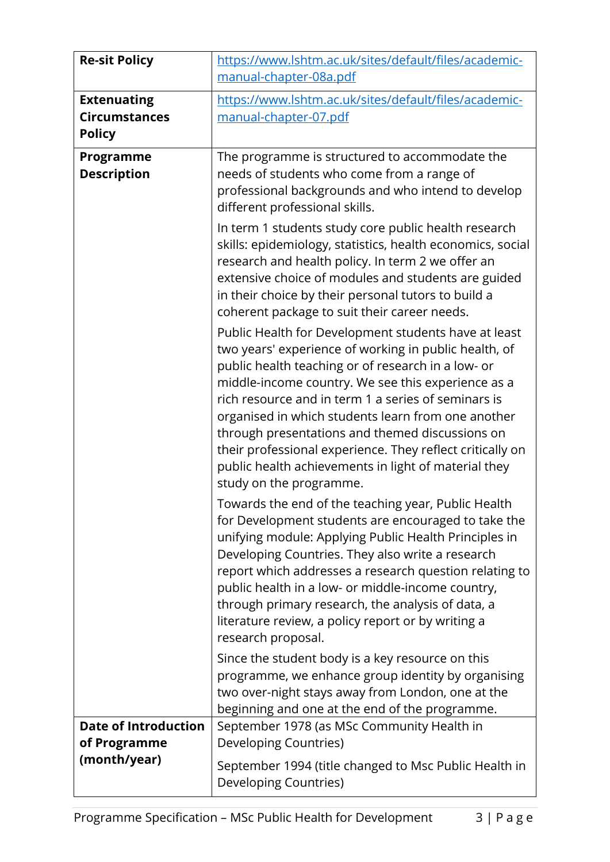| <b>Re-sit Policy</b>                                        | https://www.lshtm.ac.uk/sites/default/files/academic-<br>manual-chapter-08a.pdf                                                                                                                                                                                                                                                                                                                                                                                                                                                                                                                                                                                                                                                                                                                                                                                                                                                                                                                                                                                                                                                                                                                                                                                                                                                                                                                                                                                                                                                                                                                                                                                                                                                                                        |
|-------------------------------------------------------------|------------------------------------------------------------------------------------------------------------------------------------------------------------------------------------------------------------------------------------------------------------------------------------------------------------------------------------------------------------------------------------------------------------------------------------------------------------------------------------------------------------------------------------------------------------------------------------------------------------------------------------------------------------------------------------------------------------------------------------------------------------------------------------------------------------------------------------------------------------------------------------------------------------------------------------------------------------------------------------------------------------------------------------------------------------------------------------------------------------------------------------------------------------------------------------------------------------------------------------------------------------------------------------------------------------------------------------------------------------------------------------------------------------------------------------------------------------------------------------------------------------------------------------------------------------------------------------------------------------------------------------------------------------------------------------------------------------------------------------------------------------------------|
| <b>Extenuating</b><br><b>Circumstances</b><br><b>Policy</b> | https://www.lshtm.ac.uk/sites/default/files/academic-<br>manual-chapter-07.pdf                                                                                                                                                                                                                                                                                                                                                                                                                                                                                                                                                                                                                                                                                                                                                                                                                                                                                                                                                                                                                                                                                                                                                                                                                                                                                                                                                                                                                                                                                                                                                                                                                                                                                         |
| <b>Programme</b><br><b>Description</b>                      | The programme is structured to accommodate the<br>needs of students who come from a range of<br>professional backgrounds and who intend to develop<br>different professional skills.<br>In term 1 students study core public health research<br>skills: epidemiology, statistics, health economics, social<br>research and health policy. In term 2 we offer an<br>extensive choice of modules and students are guided<br>in their choice by their personal tutors to build a<br>coherent package to suit their career needs.<br>Public Health for Development students have at least<br>two years' experience of working in public health, of<br>public health teaching or of research in a low- or<br>middle-income country. We see this experience as a<br>rich resource and in term 1 a series of seminars is<br>organised in which students learn from one another<br>through presentations and themed discussions on<br>their professional experience. They reflect critically on<br>public health achievements in light of material they<br>study on the programme.<br>Towards the end of the teaching year, Public Health<br>for Development students are encouraged to take the<br>unifying module: Applying Public Health Principles in<br>Developing Countries. They also write a research<br>report which addresses a research question relating to<br>public health in a low- or middle-income country,<br>through primary research, the analysis of data, a<br>literature review, a policy report or by writing a<br>research proposal.<br>Since the student body is a key resource on this<br>programme, we enhance group identity by organising<br>two over-night stays away from London, one at the<br>beginning and one at the end of the programme. |
| <b>Date of Introduction</b><br>of Programme<br>(month/year) | September 1978 (as MSc Community Health in<br>Developing Countries)<br>September 1994 (title changed to Msc Public Health in<br>Developing Countries)                                                                                                                                                                                                                                                                                                                                                                                                                                                                                                                                                                                                                                                                                                                                                                                                                                                                                                                                                                                                                                                                                                                                                                                                                                                                                                                                                                                                                                                                                                                                                                                                                  |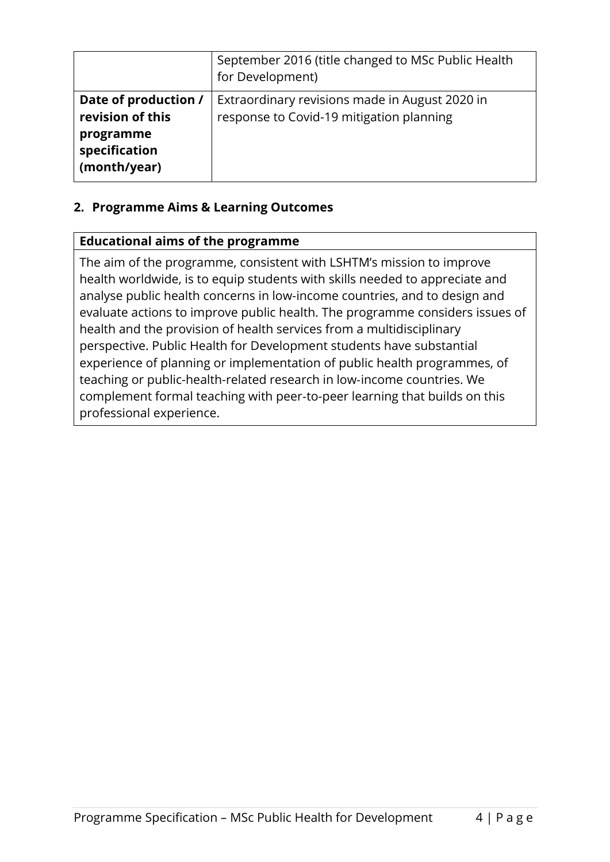|                                                                                        | September 2016 (title changed to MSc Public Health<br>for Development)                     |
|----------------------------------------------------------------------------------------|--------------------------------------------------------------------------------------------|
| Date of production /<br>revision of this<br>programme<br>specification<br>(month/year) | Extraordinary revisions made in August 2020 in<br>response to Covid-19 mitigation planning |

## **2. Programme Aims & Learning Outcomes**

#### **Educational aims of the programme**

The aim of the programme, consistent with LSHTM's mission to improve health worldwide, is to equip students with skills needed to appreciate and analyse public health concerns in low-income countries, and to design and evaluate actions to improve public health. The programme considers issues of health and the provision of health services from a multidisciplinary perspective. Public Health for Development students have substantial experience of planning or implementation of public health programmes, of teaching or public-health-related research in low‑income countries. We complement formal teaching with peer‑to-peer learning that builds on this professional experience.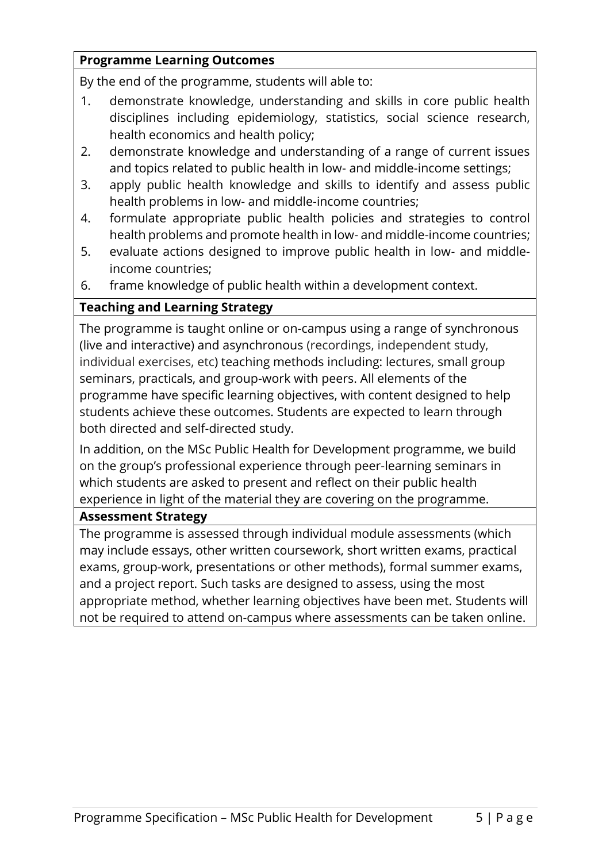### **Programme Learning Outcomes**

By the end of the programme, students will able to:

- 1. demonstrate knowledge, understanding and skills in core public health disciplines including epidemiology, statistics, social science research, health economics and health policy;
- 2. demonstrate knowledge and understanding of a range of current issues and topics related to public health in low- and middle-income settings;
- 3. apply public health knowledge and skills to identify and assess public health problems in low- and middle-income countries;
- 4. formulate appropriate public health policies and strategies to control health problems and promote health in low- and middle-income countries;
- 5. evaluate actions designed to improve public health in low- and middleincome countries;
- 6. frame knowledge of public health within a development context.

## **Teaching and Learning Strategy**

The programme is taught online or on-campus using a range of synchronous (live and interactive) and asynchronous (recordings, independent study, individual exercises, etc) teaching methods including: lectures, small group seminars, practicals, and group-work with peers. All elements of the programme have specific learning objectives, with content designed to help students achieve these outcomes. Students are expected to learn through both directed and self-directed study.

In addition, on the MSc Public Health for Development programme, we build on the group's professional experience through peer-learning seminars in which students are asked to present and reflect on their public health experience in light of the material they are covering on the programme.

#### **Assessment Strategy**

The programme is assessed through individual module assessments (which may include essays, other written coursework, short written exams, practical exams, group-work, presentations or other methods), formal summer exams, and a project report. Such tasks are designed to assess, using the most appropriate method, whether learning objectives have been met. Students will not be required to attend on-campus where assessments can be taken online.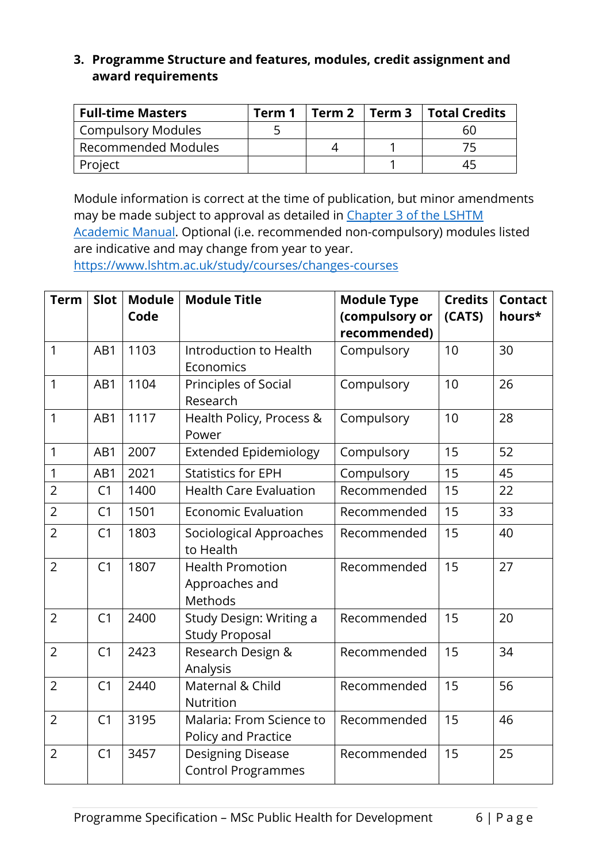#### **3. Programme Structure and features, modules, credit assignment and award requirements**

| <b>Full-time Masters</b>  | Term 1 | l Term 2 | Term 3   Total Credits |
|---------------------------|--------|----------|------------------------|
| <b>Compulsory Modules</b> |        |          | 60                     |
| Recommended Modules       |        |          |                        |
| Project                   |        |          | 45                     |

Module information is correct at the time of publication, but minor amendments may be made subject to approval as detailed in Chapter 3 of the LSHTM [Academic Manual.](https://www.lshtm.ac.uk/sites/default/files/academic-manual-chapter-03.pdf) Optional (i.e. recommended non-compulsory) modules listed are indicative and may change from year to year. <https://www.lshtm.ac.uk/study/courses/changes-courses>

| <b>Term</b>    | Slot           | <b>Module</b><br>Code | <b>Module Title</b>                                   | <b>Module Type</b><br>(compulsory or<br>recommended) | <b>Credits</b><br>(CATS) | <b>Contact</b><br>hours* |
|----------------|----------------|-----------------------|-------------------------------------------------------|------------------------------------------------------|--------------------------|--------------------------|
| 1              | AB1            | 1103                  | Introduction to Health<br>Economics                   | Compulsory                                           | 10                       | 30                       |
| 1              | AB1            | 1104                  | Principles of Social<br>Research                      | Compulsory                                           | 10                       | 26                       |
| 1              | AB1            | 1117                  | Health Policy, Process &<br>Power                     | Compulsory                                           | 10                       | 28                       |
| 1              | AB1            | 2007                  | <b>Extended Epidemiology</b>                          | Compulsory                                           | 15                       | 52                       |
| 1              | AB1            | 2021                  | <b>Statistics for EPH</b>                             | Compulsory                                           | 15                       | 45                       |
| $\overline{2}$ | C1             | 1400                  | <b>Health Care Evaluation</b>                         | Recommended                                          | 15                       | 22                       |
| $\overline{2}$ | C <sub>1</sub> | 1501                  | <b>Economic Evaluation</b>                            | Recommended                                          | 15                       | 33                       |
| $\overline{2}$ | C <sub>1</sub> | 1803                  | Sociological Approaches<br>to Health                  | Recommended                                          | 15                       | 40                       |
| $\overline{2}$ | C <sub>1</sub> | 1807                  | <b>Health Promotion</b><br>Approaches and<br>Methods  | Recommended                                          | 15                       | 27                       |
| $\overline{2}$ | C <sub>1</sub> | 2400                  | Study Design: Writing a<br><b>Study Proposal</b>      | Recommended                                          | 15                       | 20                       |
| $\overline{2}$ | C <sub>1</sub> | 2423                  | Research Design &<br>Analysis                         | Recommended                                          | 15                       | 34                       |
| $\overline{2}$ | C <sub>1</sub> | 2440                  | Maternal & Child<br>Nutrition                         | Recommended                                          | 15                       | 56                       |
| $\overline{2}$ | C <sub>1</sub> | 3195                  | Malaria: From Science to<br>Policy and Practice       | Recommended                                          | 15                       | 46                       |
| $\overline{2}$ | C <sub>1</sub> | 3457                  | <b>Designing Disease</b><br><b>Control Programmes</b> | Recommended                                          | 15                       | 25                       |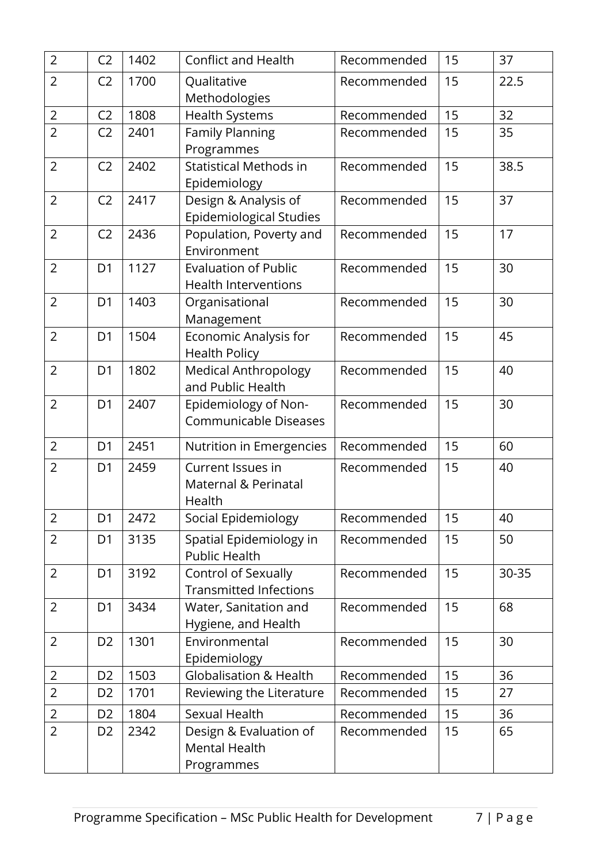| $\overline{2}$ | C <sub>2</sub> | 1402 | <b>Conflict and Health</b>                                   | Recommended | 15 | 37    |
|----------------|----------------|------|--------------------------------------------------------------|-------------|----|-------|
| $\overline{2}$ | C <sub>2</sub> | 1700 | Qualitative<br>Methodologies                                 | Recommended | 15 | 22.5  |
| $\overline{2}$ | C <sub>2</sub> | 1808 | <b>Health Systems</b>                                        | Recommended | 15 | 32    |
| $\overline{2}$ | C <sub>2</sub> | 2401 | <b>Family Planning</b><br>Programmes                         | Recommended | 15 | 35    |
| $\overline{2}$ | C <sub>2</sub> | 2402 | Statistical Methods in<br>Epidemiology                       | Recommended | 15 | 38.5  |
| $\overline{2}$ | C <sub>2</sub> | 2417 | Design & Analysis of<br><b>Epidemiological Studies</b>       | Recommended | 15 | 37    |
| $\overline{2}$ | C <sub>2</sub> | 2436 | Population, Poverty and<br>Environment                       | Recommended | 15 | 17    |
| $\overline{2}$ | D <sub>1</sub> | 1127 | <b>Evaluation of Public</b><br><b>Health Interventions</b>   | Recommended | 15 | 30    |
| $\overline{2}$ | D <sub>1</sub> | 1403 | Organisational<br>Management                                 | Recommended | 15 | 30    |
| $\overline{2}$ | D <sub>1</sub> | 1504 | Economic Analysis for<br><b>Health Policy</b>                | Recommended | 15 | 45    |
| $\overline{2}$ | D <sub>1</sub> | 1802 | <b>Medical Anthropology</b><br>and Public Health             | Recommended | 15 | 40    |
| $\overline{2}$ | D <sub>1</sub> | 2407 | Epidemiology of Non-<br><b>Communicable Diseases</b>         | Recommended | 15 | 30    |
| $\overline{2}$ | D <sub>1</sub> | 2451 | Nutrition in Emergencies                                     | Recommended | 15 | 60    |
| $\overline{2}$ | D <sub>1</sub> | 2459 | Current Issues in<br>Maternal & Perinatal<br>Health          | Recommended | 15 | 40    |
| $\overline{2}$ | D <sub>1</sub> | 2472 | Social Epidemiology                                          | Recommended | 15 | 40    |
| $\overline{2}$ | D <sub>1</sub> | 3135 | Spatial Epidemiology in<br><b>Public Health</b>              | Recommended | 15 | 50    |
| $\overline{2}$ | D <sub>1</sub> | 3192 | Control of Sexually<br><b>Transmitted Infections</b>         | Recommended | 15 | 30-35 |
| $\overline{2}$ | D <sub>1</sub> | 3434 | Water, Sanitation and<br>Hygiene, and Health                 | Recommended | 15 | 68    |
| $\overline{2}$ | D <sub>2</sub> | 1301 | Environmental<br>Epidemiology                                | Recommended | 15 | 30    |
| $\overline{2}$ | D <sub>2</sub> | 1503 | <b>Globalisation &amp; Health</b>                            | Recommended | 15 | 36    |
| $\overline{2}$ | D <sub>2</sub> | 1701 | Reviewing the Literature                                     | Recommended | 15 | 27    |
| $\overline{2}$ | D <sub>2</sub> | 1804 | Sexual Health                                                | Recommended | 15 | 36    |
| $\overline{2}$ | D <sub>2</sub> | 2342 | Design & Evaluation of<br><b>Mental Health</b><br>Programmes | Recommended | 15 | 65    |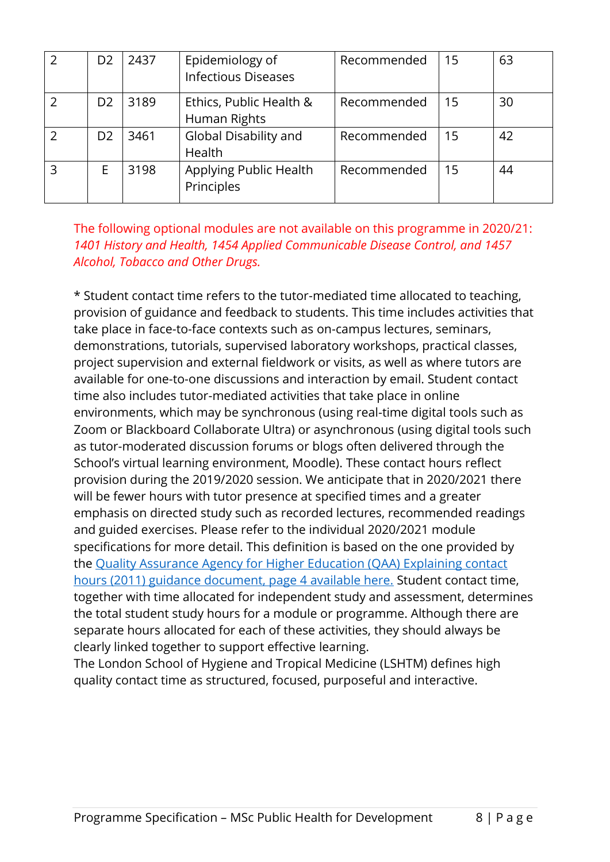| D <sub>2</sub> | 2437 | Epidemiology of<br><b>Infectious Diseases</b> | Recommended | 15 | 63 |
|----------------|------|-----------------------------------------------|-------------|----|----|
| D <sub>2</sub> | 3189 | Ethics, Public Health &<br>Human Rights       | Recommended | 15 | 30 |
| D2             | 3461 | Global Disability and<br>Health               | Recommended | 15 | 42 |
|                | 3198 | Applying Public Health<br>Principles          | Recommended | 15 | 44 |

The following optional modules are not available on this programme in 2020/21: *1401 History and Health, 1454 Applied Communicable Disease Control, and 1457 Alcohol, Tobacco and Other Drugs.*

\* Student contact time refers to the tutor-mediated time allocated to teaching, provision of guidance and feedback to students. This time includes activities that take place in face-to-face contexts such as on-campus lectures, seminars, demonstrations, tutorials, supervised laboratory workshops, practical classes, project supervision and external fieldwork or visits, as well as where tutors are available for one-to-one discussions and interaction by email. Student contact time also includes tutor-mediated activities that take place in online environments, which may be synchronous (using real-time digital tools such as Zoom or Blackboard Collaborate Ultra) or asynchronous (using digital tools such as tutor-moderated discussion forums or blogs often delivered through the School's virtual learning environment, Moodle). These contact hours reflect provision during the 2019/2020 session. We anticipate that in 2020/2021 there will be fewer hours with tutor presence at specified times and a greater emphasis on directed study such as recorded lectures, recommended readings and guided exercises. Please refer to the individual 2020/2021 module specifications for more detail. This definition is based on the one provided by the [Quality Assurance Agency for Higher Education \(QAA\) Explaining contact](https://www.qaa.ac.uk/docs/qaa/quality-code/contact-hours-guidance.pdf)  [hours \(2011\) guidance document, page 4 available here.](https://www.qaa.ac.uk/docs/qaa/quality-code/contact-hours-guidance.pdf) Student contact time, together with time allocated for independent study and assessment, determines the total student study hours for a module or programme. Although there are separate hours allocated for each of these activities, they should always be clearly linked together to support effective learning.

The London School of Hygiene and Tropical Medicine (LSHTM) defines high quality contact time as structured, focused, purposeful and interactive.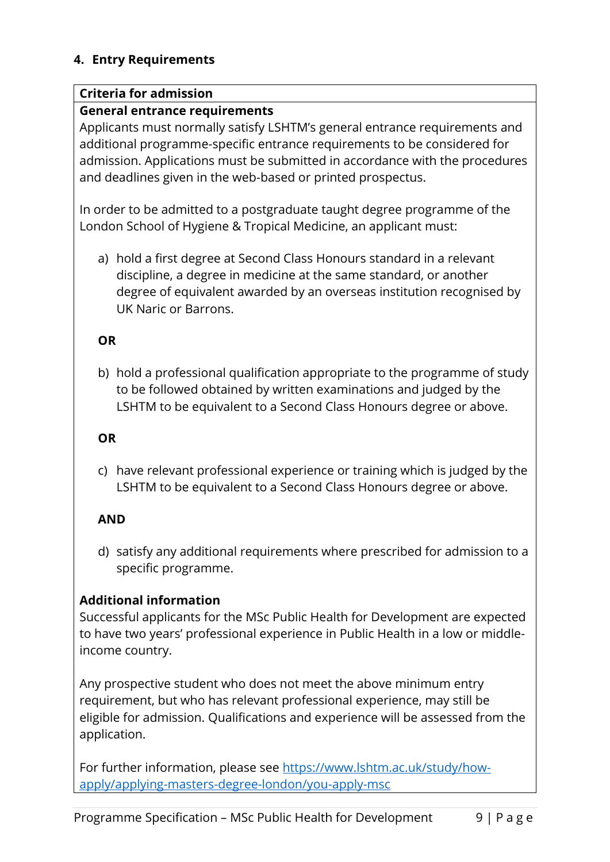### **4. Entry Requirements**

### **Criteria for admission**

## **General entrance requirements**

Applicants must normally satisfy LSHTM's general entrance requirements and additional programme-specific entrance requirements to be considered for admission. Applications must be submitted in accordance with the procedures and deadlines given in the web-based or printed prospectus.

In order to be admitted to a postgraduate taught degree programme of the London School of Hygiene & Tropical Medicine, an applicant must:

a) hold a first degree at Second Class Honours standard in a relevant discipline, a degree in medicine at the same standard, or another degree of equivalent awarded by an overseas institution recognised by UK Naric or Barrons.

# **OR**

b) hold a professional qualification appropriate to the programme of study to be followed obtained by written examinations and judged by the LSHTM to be equivalent to a Second Class Honours degree or above.

### **OR**

c) have relevant professional experience or training which is judged by the LSHTM to be equivalent to a Second Class Honours degree or above.

## **AND**

d) satisfy any additional requirements where prescribed for admission to a specific programme.

## **Additional information**

Successful applicants for the MSc Public Health for Development are expected to have two years' professional experience in Public Health in a low or middleincome country.

Any prospective student who does not meet the above minimum entry requirement, but who has relevant professional experience, may still be eligible for admission. Qualifications and experience will be assessed from the application.

For further information, please see [https://www.lshtm.ac.uk/study/how](https://www.lshtm.ac.uk/study/how-apply/applying-masters-degree-london/you-apply-msc)[apply/applying-masters-degree-london/you-apply-msc](https://www.lshtm.ac.uk/study/how-apply/applying-masters-degree-london/you-apply-msc)